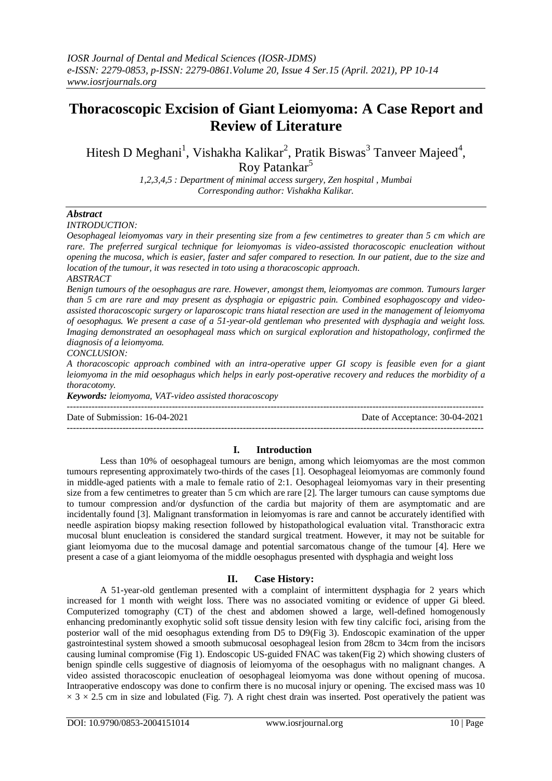# **Thoracoscopic Excision of Giant Leiomyoma: A Case Report and Review of Literature**

Hitesh D Meghani<sup>1</sup>, Vishakha Kalikar<sup>2</sup>, Pratik Biswas<sup>3</sup> Tanveer Majeed<sup>4</sup>, Roy Patankar<sup>5</sup>

> *1,2,3,4,5 : Department of minimal access surgery, Zen hospital , Mumbai Corresponding author: Vishakha Kalikar.*

# *Abstract*

*INTRODUCTION:* 

*Oesophageal leiomyomas vary in their presenting size from a few centimetres to greater than 5 cm which are rare. The preferred surgical technique for leiomyomas is video-assisted thoracoscopic enucleation without opening the mucosa, which is easier, faster and safer compared to resection. In our patient, due to the size and location of the tumour, it was resected in toto using a thoracoscopic approach. ABSTRACT*

*Benign tumours of the oesophagus are rare. However, amongst them, leiomyomas are common. Tumours larger than 5 cm are rare and may present as dysphagia or epigastric pain. Combined esophagoscopy and videoassisted thoracoscopic surgery or laparoscopic trans hiatal resection are used in the management of leiomyoma of oesophagus. We present a case of a 51-year-old gentleman who presented with dysphagia and weight loss. Imaging demonstrated an oesophageal mass which on surgical exploration and histopathology, confirmed the diagnosis of a leiomyoma. CONCLUSION:*

*A thoracoscopic approach combined with an intra-operative upper GI scopy is feasible even for a giant leiomyoma in the mid oesophagus which helps in early post-operative recovery and reduces the morbidity of a thoracotomy.*

*Keywords: leiomyoma, VAT-video assisted thoracoscopy*

--------------------------------------------------------------------------------------------------------------------------------------- Date of Submission: 16-04-2021 Date of Acceptance: 30-04-2021

---------------------------------------------------------------------------------------------------------------------------------------

# **I. Introduction**

Less than 10% of oesophageal tumours are benign, among which leiomyomas are the most common tumours representing approximately two-thirds of the cases [1]. Oesophageal leiomyomas are commonly found in middle-aged patients with a male to female ratio of 2:1. Oesophageal leiomyomas vary in their presenting size from a few centimetres to greater than 5 cm which are rare [2]. The larger tumours can cause symptoms due to tumour compression and/or dysfunction of the cardia but majority of them are asymptomatic and are incidentally found [3]. Malignant transformation in leiomyomas is rare and cannot be accurately identified with needle aspiration biopsy making resection followed by histopathological evaluation vital. Transthoracic extra mucosal blunt enucleation is considered the standard surgical treatment. However, it may not be suitable for giant leiomyoma due to the mucosal damage and potential sarcomatous change of the tumour [4]. Here we present a case of a giant leiomyoma of the middle oesophagus presented with dysphagia and weight loss

### **II. Case History:**

A 51-year-old gentleman presented with a complaint of intermittent dysphagia for 2 years which increased for 1 month with weight loss. There was no associated vomiting or evidence of upper Gi bleed. Computerized tomography (CT) of the chest and abdomen showed a large, well-defined homogenously enhancing predominantly exophytic solid soft tissue density lesion with few tiny calcific foci, arising from the posterior wall of the mid oesophagus extending from D5 to D9(Fig 3). Endoscopic examination of the upper gastrointestinal system showed a smooth submucosal oesophageal lesion from 28cm to 34cm from the incisors causing luminal compromise (Fig 1). Endoscopic US-guided FNAC was taken(Fig 2) which showing clusters of benign spindle cells suggestive of diagnosis of leiomyoma of the oesophagus with no malignant changes. A video assisted thoracoscopic enucleation of oesophageal leiomyoma was done without opening of mucosa. Intraoperative endoscopy was done to confirm there is no mucosal injury or opening. The excised mass was 10  $\times$  3  $\times$  2.5 cm in size and lobulated (Fig. 7). A right chest drain was inserted. Post operatively the patient was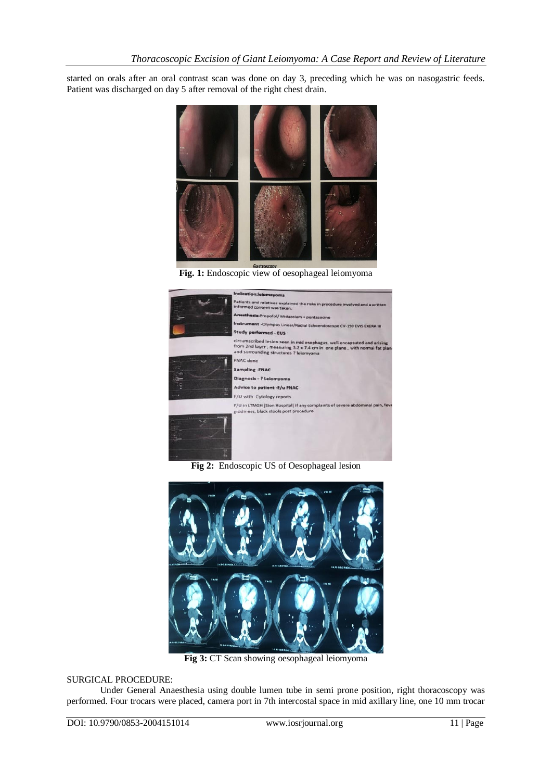started on orals after an oral contrast scan was done on day 3, preceding which he was on nasogastric feeds. Patient was discharged on day 5 after removal of the right chest drain.



**Fig. 1:** Endoscopic view of oesophageal leiomyoma



**Fig 2:** Endoscopic US of Oesophageal lesion



**Fig 3:** CT Scan showing oesophageal leiomyoma

### SURGICAL PROCEDURE:

Under General Anaesthesia using double lumen tube in semi prone position, right thoracoscopy was performed. Four trocars were placed, camera port in 7th intercostal space in mid axillary line, one 10 mm trocar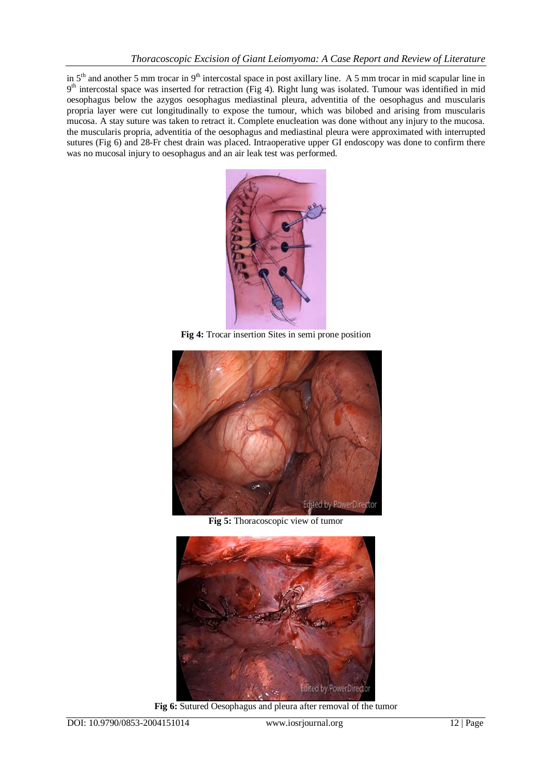in  $5<sup>th</sup>$  and another 5 mm trocar in  $9<sup>th</sup>$  intercostal space in post axillary line. A 5 mm trocar in mid scapular line in 9<sup>th</sup> intercostal space was inserted for retraction (Fig 4). Right lung was isolated. Tumour was identified in mid oesophagus below the azygos oesophagus mediastinal pleura, adventitia of the oesophagus and muscularis propria layer were cut longitudinally to expose the tumour, which was bilobed and arising from muscularis mucosa. A stay suture was taken to retract it. Complete enucleation was done without any injury to the mucosa. the muscularis propria, adventitia of the oesophagus and mediastinal pleura were approximated with interrupted sutures (Fig 6) and 28-Fr chest drain was placed. Intraoperative upper GI endoscopy was done to confirm there was no mucosal injury to oesophagus and an air leak test was performed.



**Fig 4:** Trocar insertion Sites in semi prone position



**Fig 5:** Thoracoscopic view of tumor



**Fig 6:** Sutured Oesophagus and pleura after removal of the tumor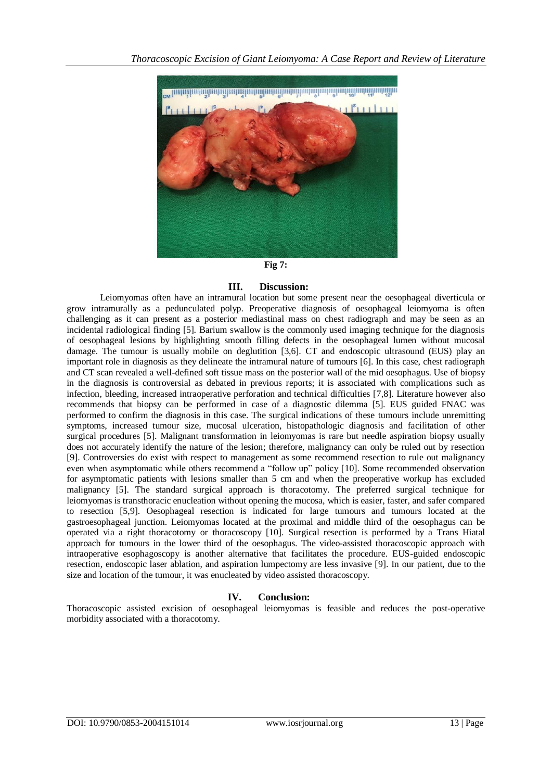

#### **Fig 7:**

### **III. Discussion:**

Leiomyomas often have an intramural location but some present near the oesophageal diverticula or grow intramurally as a pedunculated polyp. Preoperative diagnosis of oesophageal leiomyoma is often challenging as it can present as a posterior mediastinal mass on chest radiograph and may be seen as an incidental radiological finding [5]. Barium swallow is the commonly used imaging technique for the diagnosis of oesophageal lesions by highlighting smooth filling defects in the oesophageal lumen without mucosal damage. The tumour is usually mobile on deglutition [3,6]. CT and endoscopic ultrasound (EUS) play an important role in diagnosis as they delineate the intramural nature of tumours [6]. In this case, chest radiograph and CT scan revealed a well-defined soft tissue mass on the posterior wall of the mid oesophagus. Use of biopsy in the diagnosis is controversial as debated in previous reports; it is associated with complications such as infection, bleeding, increased intraoperative perforation and technical difficulties [7,8]. Literature however also recommends that biopsy can be performed in case of a diagnostic dilemma [5]. EUS guided FNAC was performed to confirm the diagnosis in this case. The surgical indications of these tumours include unremitting symptoms, increased tumour size, mucosal ulceration, histopathologic diagnosis and facilitation of other surgical procedures [5]. Malignant transformation in leiomyomas is rare but needle aspiration biopsy usually does not accurately identify the nature of the lesion; therefore, malignancy can only be ruled out by resection [9]. Controversies do exist with respect to management as some recommend resection to rule out malignancy even when asymptomatic while others recommend a "follow up" policy [10]. Some recommended observation for asymptomatic patients with lesions smaller than 5 cm and when the preoperative workup has excluded malignancy [5]. The standard surgical approach is thoracotomy. The preferred surgical technique for leiomyomas is transthoracic enucleation without opening the mucosa, which is easier, faster, and safer compared to resection [5,9]. Oesophageal resection is indicated for large tumours and tumours located at the gastroesophageal junction. Leiomyomas located at the proximal and middle third of the oesophagus can be operated via a right thoracotomy or thoracoscopy [10]. Surgical resection is performed by a Trans Hiatal approach for tumours in the lower third of the oesophagus. The video-assisted thoracoscopic approach with intraoperative esophagoscopy is another alternative that facilitates the procedure. EUS-guided endoscopic resection, endoscopic laser ablation, and aspiration lumpectomy are less invasive [9]. In our patient, due to the size and location of the tumour, it was enucleated by video assisted thoracoscopy.

# **IV. Conclusion:**

Thoracoscopic assisted excision of oesophageal leiomyomas is feasible and reduces the post-operative morbidity associated with a thoracotomy.